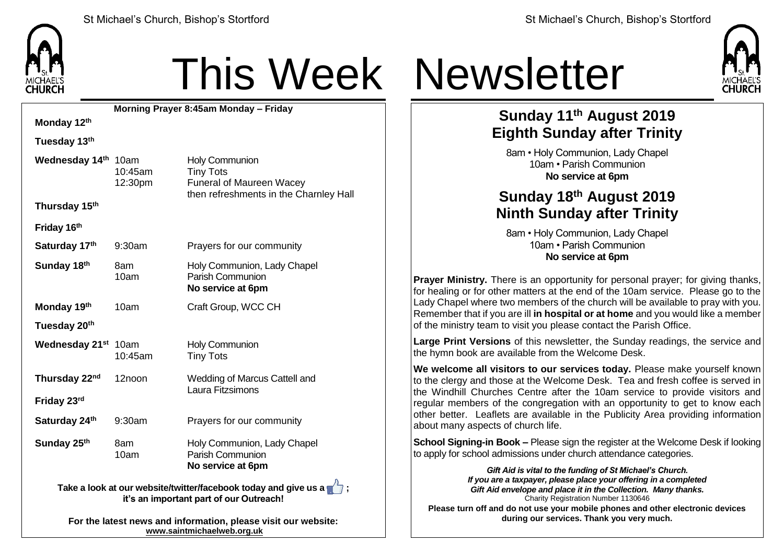

# This Week Newsletter

**Morning Prayer 8:45am Monday – Friday Monday 12th Tuesday 13th Wednesday 14th** 10am 10:45am 12:30pm Holy Communion Tiny Tots Funeral of Maureen Wacey then refreshments in the Charnley Hall **Thursday 15th Friday 16th Saturday 17<sup>th</sup>** 9:30am Prayers for our community **Sunday 18<sup>th</sup> 8am** 10am Holy Communion, Lady Chapel Parish Communion **No service at 6pm Monday 19<sup>th</sup> 10am** Craft Group, WCC CH **Tuesday 20th Wednesday 21st** 10am 10:45am Holy Communion Tiny Tots **Thursday 22nd** 12noon Wedding of Marcus Cattell and Laura Fitzsimons **Friday 23rd Saturday 24<sup>th</sup>** 9:30am Prayers for our community **Sunday 25<sup>th</sup> 8am** 10am Holy Communion, Lady Chapel Parish Communion **No service at 6pm Take a look at our website/twitter/facebook today and give us a**  $\mathbb{Z}$ **: it's an important part of our Outreach!**

> **For the latest news and information, please visit our website: [www.saintmichaelweb.org.uk](http://www.saintmichaelweb.org.uk/)**



### **Sunday 11th August 2019 Eighth Sunday after Trinity**

8am • Holy Communion, Lady Chapel 10am • Parish Communion **No service at 6pm**

### **Sunday 18 th August 2019 Ninth Sunday after Trinity**

8am • Holy Communion, Lady Chapel 10am • Parish Communion **No service at 6pm**

**Prayer Ministry.** There is an opportunity for personal prayer; for giving thanks, for healing or for other matters at the end of the 10am service. Please go to the Lady Chapel where two members of the church will be available to pray with you. Remember that if you are ill **in hospital or at home** and you would like a member of the ministry team to visit you please contact the Parish Office.

**Large Print Versions** of this newsletter, the Sunday readings, the service and the hymn book are available from the Welcome Desk.

**We welcome all visitors to our services today.** Please make yourself known to the clergy and those at the Welcome Desk. Tea and fresh coffee is served in the Windhill Churches Centre after the 10am service to provide visitors and regular members of the congregation with an opportunity to get to know each other better. Leaflets are available in the Publicity Area providing information about many aspects of church life.

**School Signing-in Book –** Please sign the register at the Welcome Desk if looking to apply for school admissions under church attendance categories.

*Gift Aid is vital to the funding of St Michael's Church. If you are a taxpayer, please place your offering in a completed Gift Aid envelope and place it in the Collection. Many thanks.* Charity Registration Number 1130646 **Please turn off and do not use your mobile phones and other electronic devices during our services. Thank you very much.**